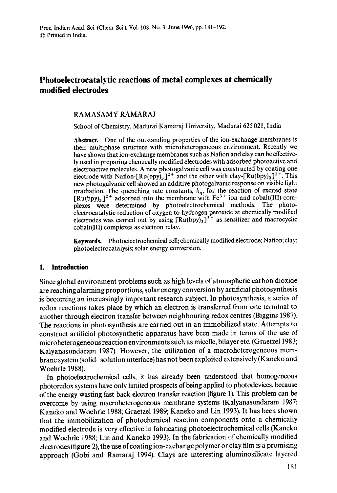# **Photoelectrocatalytic reactions of metal complexes at chemically modified electrodes**

### RAMASAMY RAMARAJ

School of Chemistry, Madurai Kamaraj University, Madurai 625 021, India

**Abstract.** One of the outstanding properties of the ion-exchange membranes is their multiphase structure with microheterogeneous environment. Recently we have shown that ion-exchange membranes such as Nafion and clay can be effectively used in preparing chemically modified electrodes with adsorbed photoactive and electroactive molecules. A new photogalvanic cell was constructed by coating one electrode with Nafion- $[Ru(bpy)_3]^2$ <sup>+</sup> and the other with clay- $[Ru(bpy)_3]^2$ <sup>+</sup>. This new photogalvanic cell showed an additive photogalvanic response on visible light irradiation. The quenching rate constants,  $k_q$ , for the reaction of excited state  $[Ru(bpy)_3]^2$ <sup>+</sup> adsorbed into the membrane with Fe<sup>3+</sup> ion and cobalt(III) complexes were determined by photoelectrochemical methods. The photoelectrocatalytic reduction of oxygen to hydrogen peroxide at chemically modified electrodes was carried out by using  $[Ru(bpy)]^{2^+}$  as sensitizer and macrocyclic cobalt(Ill) complexes as electron relay.

**Keywords.** Photoelectrochemical cell; chemically modified electrode; Nation; clay; photoelectrocatalysis; solar energy conversion.

#### **1. Introduction**

Since global environment problems such as high levels of atmospheric carbon dioxide are reaching alarming proportions, solar energy conversion by artificial photosynthesis is becoming an increasingly important research subject. In photosynthesis, a series of redox reactions takes place by which an electron is transferred from one terminal to another through electron transfer between neighbouring redox centres (Biggins 1987). The reactions in photosynthesis are carried out in an immobilized state. Attempts to construct artificial photosynthetic apparatus have been made in terms of the use of microheterogeneous reaction environments such as micelle, bilayer etc. (Graetze11983; Kalyanasundaram 1987). However, the utilization of a macroheterogeneous membrane system (solid-solution interface) has not been exploited extensively (Kaneko and Woehrle 1988).

In photoelectrochemical cells, it has already been understood that homogeneous photoredox systems have only limited prospects of being applied to photodevices, because of the energy wasting fast back electron transfer reaction (figure 1). This problem can be overcome by using macroheterogeneous membrane systems (Kalyanasundaram 1987; Kaneko and Woehrle 1988; Graetzel 1989; Kaneko and Lin 1993). It has been shown that the immobilization of photochemical reaction components onto a chemically modified electrode is very effective in fabricating photoelectrochemical cells (Kaneko and Woehrle 1988; Lin and Kaneko 1993). In the fabrication ef chemically modified electrodes (figure 2), the use of coating ion-exchange polymer or clay film is a promising approach (Gobi and Ramaraj 1994). Clays are interesting aluminosilicate layered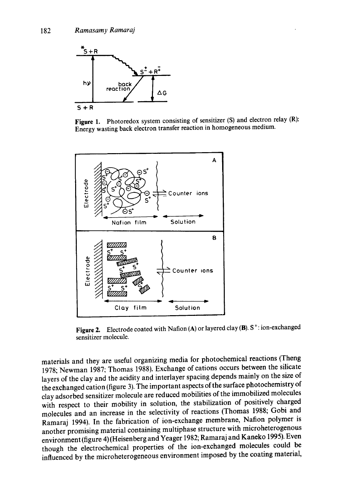

Figure 1. Photoredox system consisting of sensitizer (S) and electron relay (R): Energy wasting back electron transfer reaction in homogeneous medium.



Figure 2. Electrode coated with Nation (A) or layered clay (B).  $S^+$ : ion-exchanged sensitizer molecule.

materials and they are useful organizing media for photochemical reactions (Theng 1978; Newman 1987; Thomas 1988). Exchange of cations occurs between the silicate layers of the clay and the acidity and interlayer spacing depends mainly on the size of the exchanged cation (figure 3). The important aspects of the surface photochemistry of clay adsorbed sensitizer molecule are reduced mobilities of the immobilized molecules with respect to their mobility in solution, the stabilization of positively charged molecules and an increase in the selectivity of reactions (Thomas 1988; Gobi and Ramaraj 1994). In the fabrication of ion-exchange membrane, Nation polymer is another promising material containing multiphase structure with microheterogenous environment (figure 4) (Heisenberg and Yeager 1982; Ramaraj and Kaneko 1995). Even though the electrochemical properties of the ion-exchanged molecules could be influenced by the microheterogeneous environment imposed by the coating material,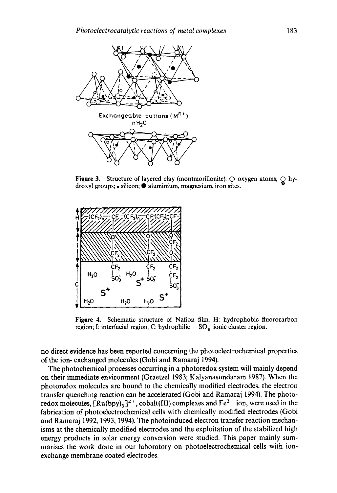

Figure 3. Structure of layered clay (montmorillonite):  $\bigcirc$  oxygen atoms;  $\bigcirc$  hydroxyl groups; • silicon;  $\bullet$  aluminium, magnesium, iron sites.



**Figure** 4. Schematic structure of Nation film. H: hydrophobic fluorocarbon region; I: interfacial region; C: hydrophilic  $-SO_3^-$  ionic cluster region.

no direct evidence has been reported concerning the photoelectrochemical properties of the ion- exchanged molecules (Gobi and Ramaraj 1994).

The photochemical processes occurring in a photoredox system will mainly depend on their immediate environment (Graetzel 1983; Kalyanasundaram 1987). When the photoredox molecules are bound to the chemically modified electrodes, the electron transfer quenching reaction can be accelerated (Gobi and Ramaraj 1994). The photoredox molecules,  $[Ru(bpy)_3]^2$ <sup>+</sup>, cobalt(III) complexes and Fe<sup>3+</sup> ion, were used in the fabrication of photoelectrochemical cells with chemically modified electrodes (Gobi and Ramaraj 1992, 1993, 1994). The photoinduced electron transfer reaction mechanisms at the chemically modified electrodes and the exploitation of the stabilized high energy products in solar energy conversion were studied. This paper mainly summarises the work done in our laboratory on photoelectrochemical cells with ionexchange membrane coated electrodes.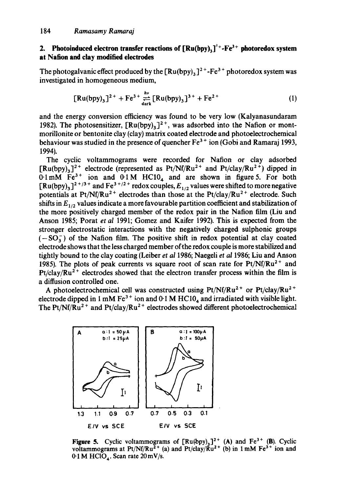### **2.** Photoinduced electron transfer reactions of  $\left[\text{Ru(bpy)}\right]^{2+} - \text{Fe}^{3+}$  photoredox system **at Nation and clay** modified electrodes

The photogalvanic effect produced by the  $\lceil Ru(bpy)_3\rceil^{2+}$ -Fe<sup>3+</sup> photoredox system was investigated in homogeneous medium,

$$
[Ru(bpy)_3]^{2+} + Fe^{3+} \underset{\text{dark}}{\overset{hv}{\rightleftarrows}} [Ru(bpy)_3]^{3+} + Fe^{2+} \tag{1}
$$

and the energy conversion efficiency was found to be very low (Kalyanasundaram 1982). The photosensitizer,  $\left[\text{Ru(bpy)}_{3}\right]^{2+}$ , was adsorbed into the Nation or montmorillonite or bentonite Clay (clay) matrix coated electrode and photoelectrochemical behaviour was studied in the presence of quencher Fe<sup>3+</sup> ion (Gobi and Ramaraj 1993, 1994).

The cyclic voltammograms were recorded for Nafion or clay adsorbed  $[Ru(bpy)_3]^2$ <sup>+</sup> electrode (represented as Pt/Nf/Ru<sup>2+</sup> and Pt/clay/Ru<sup>2+</sup>) dipped in  $0.1 \text{ mM}$   $Fe^{3+}$  ion and  $0.1 \text{ M}$  HC10<sub>4</sub> and are shown in figure 5. For both  $\left[Ru(bpy)_3\right]^{2+/3+}$  and  $Fe^{3+/2+}$  redox couples,  $E_{1/2}$  values were shifted to more negative potentials at Pt/Nf/Ru<sup>2+</sup> electrodes than those at the Pt/clay/Ru<sup>2+</sup> electrode. Such shifts in  $E_{1/2}$  values indicate a more favourable partition coefficient and stabilization of the more positively charged member of the redox pair in the Nation film (Liu and Anson 1985; Porat *et al* 1991; Gomez and Kaifer 1992). This is expected from the stronger electrostatic interactions with the negatively charged sulphonic groups  $(-SO<sub>3</sub>)$  of the Nation film. The positive shift in redox potential at clay coated electrode shows that the less charged member of the redox couple is more stabilized and tightly bound to the clay coating (Leiber *et al* 1986; Naegeli *et al* 1986; Liu and Anson 1985). The plots of peak currents vs square root of scan rate for  $Pt/Nf/Ru^{2+}$  and  $Pt/clay/Ru<sup>2+</sup>$  electrodes showed that the electron transfer process within the film is a diffusion controlled one.

A photoelectrochemical cell was constructed using Pt/Nf/Ru<sup>2+</sup> or Pt/clay/Ru<sup>2+</sup> electrode dipped in 1 mM  $Fe<sup>3+</sup>$  ion and 0.1 M HC10<sub>4</sub> and irradiated with visible light. The Pt/Nf/ $\hat{Ru}^{2+}$  and Pt/clay/Ru<sup>2+</sup> electrodes showed different photoelectrochemical



**Figure 5.** Cyclic voltammograms of  $\left[\text{Ru(bpy)}_{3}\right]^{2+}$  (A) and  $\text{Fe}^{3+}$  (B). Cyclic voltammograms at Pt/Nf/Ru<sup>2+</sup> (a) and Pt/clay/ $\bar{R}u^{2+}$  (b) in 1 mM Fe<sup>3+</sup> ion and  $0.1$  M HClO<sub>4</sub>. Scan rate  $20 \text{ mV/s}$ .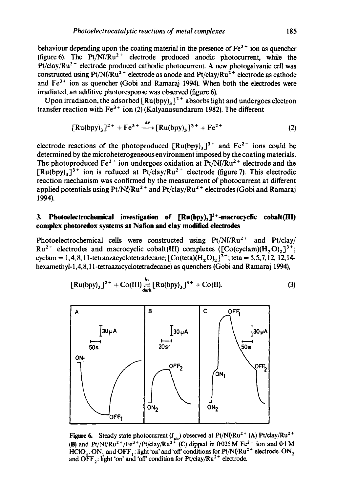behaviour depending upon the coating material in the presence of  $Fe<sup>3+</sup>$  ion as quencher (figure 6). The  $Pt/Nf/Ru^{2+}$  electrode produced anodic photocurrent, while the  $Pt/clay/Ru<sup>2+</sup>$  electrode produced cathodic photocurrent. A new photogalvanic cell was constructed using Pt/Nf/Ru<sup>2+</sup> electrode as anode and Pt/clay/Ru<sup>2+</sup> electrode as cathode and  $Fe<sup>3+</sup>$  ion as quencher (Gobi and Ramaraj 1994). When both the electrodes were irradiated, an additive photoresponse was observed (figure 6).

Upon irradiation, the adsorbed  $[Ru(bpy)_3]^2$  absorbs light and undergoes electron transfer reaction with  $Fe^{3+}$  ion (2) (Kalyanasundaram 1982). The different

$$
[Ru(bpy)_3]^{2+} + Fe^{3+} \xrightarrow{hv} [Ru(bpy)_3]^{3+} + Fe^{2+}
$$
 (2)

electrode reactions of the photoproduced  $[Ru(bpy)_3]^{3+}$  and  $Fe^{2+}$  ions could be determined by the microheterogeneous environment imposed by the coating materials. The photoproduced  $Fe^{2+}$  ion undergoes oxidation at  $Pt/Nf/Ru^{2+}$  electrode and the  $[Ru(bpy)_3]^{3+}$  ion is reduced at Pt/clay/Ru<sup>2+</sup> electrode (figure 7). This electrodic reaction mechanism was confirmed by the measurement of photocurrent at different applied potentials using  $Pt/Nf/Ru^{2+}$  and  $Pt/clay/Ru^{2+}$  electrodes (Gobi and Ramaraj 1994).

## **3. Photoelectrochemical investigation of**  $\left[\text{Ru(bpy)}_{3}\right]^{2+}$ **-macrocyclic cobalt(III) complex photoredox systems at Nation and clay modified electrodes**

Photoelectrochemical cells were constructed using  $Pt/Nf/Ru^{2+}$  and  $Pt/clay/$  $Ru^{2+}$  electrodes and macrocyclic cobalt(III) complexes ([Co(cyclam)(H<sub>2</sub>O)<sub>2</sub>]<sup>3+</sup>; cyclam = 1, 4, 8, 11-tetraazacyclotetradecane;  $[Co(teta)(H, O)]^{3+}$ ; teta = 5,5,7,12, 12,14hexamethyl-1,4,8,11-tetraazacyclotetradecane) as quenchers (Gobi and Ramaraj 1994),

$$
[Ru(bpy)_3]^{2+} + Co(III) \underset{\text{dark}}{\overset{hv}{\rightleftharpoons}} [Ru(bpy)_3]^{3+} + Co(II). \tag{3}
$$



Figure 6. Steady state photocurrent  $(I_{ph})$  observed at Pt/Nf/Ru<sup>2+</sup> (A) Pt/clay/Ru<sup>2+</sup> (B) and Pt/Nf/Ru<sup>2+</sup>/Fe<sup>3+</sup>/Pt/clay/Ru<sup>2+</sup> (C) dipped in 0-025 M Fe<sup>2+</sup> ion and 0.1 M HClO<sub>4</sub>. ON, and OFF, : light 'on' and 'off' conditions for Pt/Nf/Ru<sup>2+</sup> electrode. ON<sub>2</sub> and OFF,: light 'on' and 'off' condition for  $Pt$ /clay/ $Ru^{2+}$  electrode.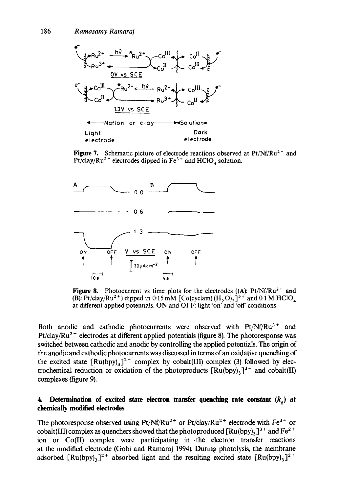

Figure 7. Schematic picture of electrode reactions observed at Pt/Nf/Ru<sup>2+</sup> and Pt/clay/Ru<sup>2+</sup> electrodes dipped in  $Fe^{3+}$  and  $HClO<sub>4</sub>$  solution.



**Figure 8.** Photocurrent vs time plots for the electrodes  $((A): Pt/Nf/Ru^2 + and$ (B): Pt/clay/Ru<sup>2+</sup>) dipped in 0.15 mM [Co(cyclam)  $(H, O), J<sup>3+</sup>$  and 0.1 M HClO<sub>4</sub> at different applied potentials. ON and OFF: light 'on' and 'off conditions.

Both anodic and cathodic photocurrents were observed with  $Pt/Nf/Ru^{2+}$  and Pt/clay/ $Ru^{2+}$  electrodes at different applied potentials (figure 8). The photoresponse was switched between cathodic and anodic by controlling the applied potentials. The origin of the anodic and cathodic photocurrents was discussed in terms of an oxidative quenching of the excited state  $[Ru(bpy)_3]^2$ <sup>+</sup> complex by cobalt(III) complex (3) followed by electrochemical reduction or oxidation of the photoproducts  $\left[\text{Ru(bpy)}_{3}\right]^{3+}$  and cobalt(II) complexes (figure 9).

### **4.** Determination of excited state electron transfer quenching rate constant  $(k_a)$  at **chemically modified electrodes**

The photoresponse observed using  $Pt/Nf/Ru^{2+}$  or  $Pt/clay/Ru^{2+}$  electrode with  $Fe^{3+}$  or cobalt(III) complex as quenchers showed that the photoproduced  $[Ru(bpy)_3]^3$  + and Fe<sup>2+</sup> ion or Co(II) complex were participating in .the electron transfer reactions at the modified electrode (Gobi and Ramaraj 1994). During photolysis, the membrane adsorbed  $[Ru(bpy)_3]^2$ <sup>+</sup> absorbed light and the resulting excited state  $[Ru(bpy)_3]^2$ <sup>+</sup>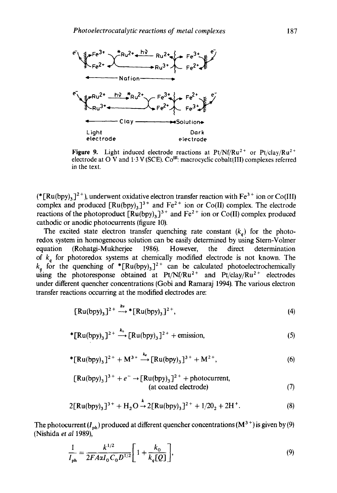

Figure 9. Light induced electrode reactions at Pt/Nf/Ru<sup>2+</sup> or Pt/clay/Ru<sup>2+</sup> electrode at O V and 1.3 V (SCE).  $Co^{III}$ : macrocyclic cobalt(III) complexes referred in the text.

(\* [Ru(bpy)<sub>3</sub>]<sup>2+</sup>), underwent oxidative electron transfer reaction with Fe<sup>3+</sup> ion or Co(III) complex and produced  $\left[\text{Ru(bpy)}\right]$ <sup>3+</sup> and  $\text{Fe}^{2+}$  ion or Co(II) complex. The electrode reactions of the photoproduct  $\left[\text{Ru(bpy)}_{3}\right]$ <sup>3+</sup> and  $\text{Fe}^{2+}$  ion or Co(II) complex produced cathodic or anodic photocurrents (figure 10).

The excited state electron transfer quenching rate constant  $(k_q)$  for the photoredox system in homogeneous solution can be easily determined by using Stern-Volmer equation (Rohatgi-Mukherjee 1986). However, the direct determination of  $k<sub>a</sub>$  for photoredox systems at chemically modified electrode is not known. The  $k_a$  for the quenching of  $\mathbf{R}$ u(bpy)<sub>3</sub>]<sup>2+</sup> can be calculated photoelectrochemically using the photoresponse obtained at  $Pt/Nf/Ru^{2+}$  and  $Pt/clay/Ru^{2+}$  electrodes under different quencher concentrations (Gobi and Ramaraj 1994). The various electron transfer reactions occurring at the modified electrodes are:

$$
[Ru(bpy)_3]^{2+} \xrightarrow{hv} [Ru(bpy)_3]^{2+}, \qquad (4)
$$

$$
*[\text{Ru(bpy)}_3]^{2+\xrightarrow{k_0}}[\text{Ru(bpy)}_3]^{2+}+\text{emission},\tag{5}
$$

\*[Ru(bpy)<sub>3</sub>]<sup>2+</sup> + M<sup>3+</sup> 
$$
\xrightarrow{k_4}
$$
 [Ru(bpy)<sub>3</sub>]<sup>3+</sup> + M<sup>2+</sup>, (6)

$$
[\text{Ru(bpy)}_3]^{3+} + e^- \rightarrow [\text{Ru(bpy)}_3]^{2+} + \text{photocurrent},
$$
  
(at coated electrode) \t(7)

$$
2[Ru(bpy)_3]^{3+} + H_2O \xrightarrow{k} 2[Ru(bpy)_3]^{2+} + 1/20_2 + 2H^+.
$$
 (8)

The photocurrent  $(I_{ph})$  produced at different quencher concentrations  $(M^{3+})$  is given by (9) (Nishida *et al* 1989),

$$
\frac{1}{I_{\rm ph}} = \frac{k^{1/2}}{2FA\alpha I_0 C_0 D^{1/2}} \left[ 1 + \frac{k_0}{k_q [Q]} \right],\tag{9}
$$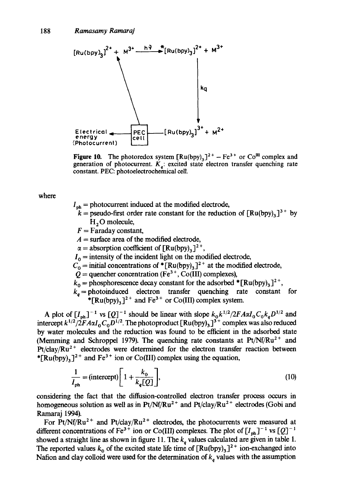

**Figure 10.** The photoredox system  $[Ru(bpy)_3]^2$ <sup>+</sup> - Fe<sup>3+</sup> or Co<sup>III</sup> complex and generation of photocurrent.  $K_a$ : excited state electron transfer quenching rate  $\sum_{q}$  . Constant. PEC: photoelectrochemical cell.

where

- $I_{\text{ph}}$  = photocurrent induced at the modified electrode,
	- $k =$  pseudo-first order rate constant for the reduction of  $\lceil \text{Ru(bpy)}_{3} \rceil^{3+}$  by  $H<sub>2</sub>O$  molecule,
	- $F =$ Faraday constant,
- $A =$ surface area of the modified electrode,
- $\alpha =$  absorption coefficient of  $[Ru(bpy)_3]^2^+$ ,
- $I_0$  = intensity of the incident light on the modified electrode,
- $C_0$  = initial concentrations of \*[Ru(bpy)<sub>3</sub>]<sup>2+</sup> at the modified electrode,
- $\dot{Q}$  = quencher concentration (Fe<sup>3+</sup>, Co(III) complexes),
- $k_0$  = phosphorescence decay constant for the adsorbed  $*$  [Ru(bpy)<sub>3</sub>]<sup>2+</sup>,
- $k_a$  = photoinduced electron transfer quenching rate constant for \*[Ru(bpy)<sub>3</sub>]<sup>2+</sup> and Fe<sup>3+</sup> or Co(III) complex system.

A plot of  $[I_{nh}]^{-1}$  vs  $[Q]^{-1}$  should be linear with slope  $k_0k^{1/2}/2FA\alpha I_0C_0k_aD^{1/2}$  and intercept  $k^{1/2}/2FA\alpha I_0C_0D^{1/2}$ . The photoproduct [Ru(bpy)<sub>3</sub>]<sup>3+</sup> complex was also reduced by water molecules and the reduction was found to be efficient in the adsorbed state (Memming and Schroppel 1979). The quenching rate constants at  $Pt/Nf/Ru^{2+}$  and  $Pt/clay/Ru<sup>2+</sup>$  electrodes were determined for the electron transfer reaction between \* $[Ru(bpy)_3]^2$ <sup>+</sup> and Fe<sup>3+</sup> ion or Co(III) complex using the equation,

$$
\frac{1}{I_{\text{ph}}} = \text{(intercept)} \left[ 1 + \frac{k_0}{k_q[Q]} \right],\tag{10}
$$

considering the fact that the difffusion-controlled electron transfer process occurs in homogeneous solution as well as in Pt/Nf/Ru<sup>2+</sup> and Pt/clay/Ru<sup>2+</sup> electrodes (Gobi and Ramaraj 1994).

For Pt/Nf/Ru<sup>2+</sup> and Pt/clay/Ru<sup>2+</sup> electrodes, the photocurrents were measured at different concentrations of Fe<sup>3+</sup> ion or Co(III) complexes. The plot of  $[I_{ph}]^{-1}$  vs  $[Q]^{-1}$ showed a straight line as shown in figure 11. The  $k_q$  values calculated are given in table 1. The reported values  $k_0$  of the excited state life time of  $\left[\text{Ru(bpy)}_3\right]^2$ <sup>+</sup> ion-exchanged into Nation and clay colloid were used for the determination of  $k_a$  values with the assumption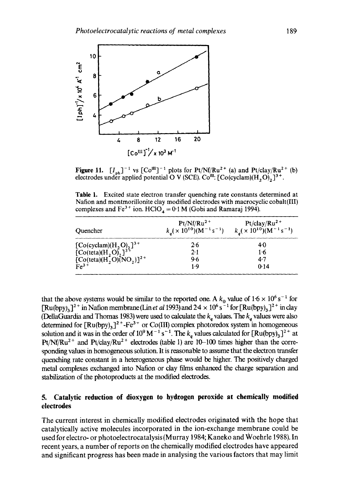

**Figure 11.**  $[I_{ph}]^{-1}$  vs  $[Co^{11}]^{-1}$  plots for Pt/Nf/Ru<sup>2+</sup> (a) and Pt/clay/Ru<sup>2+</sup> (b) electrodes under applied potential O V (SCE). Co<sup>m</sup>: [Co(cyclam)(H<sub>2</sub>O)<sub>2</sub>]<sup>3+</sup>.

Table 1. Excited state electron transfer quenching rate constants determined at Nation and montmorillonite clay modified electrodes with macrocyclic cobalt(III) complexes and Fe<sup>3+</sup> ion. HClO<sub>4</sub> = 0.1 M (Gobi and Ramaraj 1994).

| Quencher                                                                                                   | $Pt/Nf/Ru^2$ <sup>+</sup><br>$k_a$ ( × 10 <sup>10</sup> )(M <sup>-1</sup> s <sup>-1</sup> ) | $Pt/clay/Ru^2$ <sup>+</sup><br>$k_a$ ( × 10 <sup>10</sup> )(M <sup>-1</sup> s <sup>-1</sup> ) |
|------------------------------------------------------------------------------------------------------------|---------------------------------------------------------------------------------------------|-----------------------------------------------------------------------------------------------|
| $[Co(cyclam)(H_2O)_{2}]^{3+}$<br>$[Co(teta)(H_2O)_{2}]^{3+}$<br>$[Co(teta)(H_2O)(NO_2)]^{2+}$<br>$Fe^{3+}$ | 2.6                                                                                         | 40                                                                                            |
|                                                                                                            | $2 \cdot 1$                                                                                 | $1 - 6$                                                                                       |
|                                                                                                            | 9.6                                                                                         | $4 - 7$                                                                                       |
|                                                                                                            | 1 . Q                                                                                       | 0.14                                                                                          |

that the above systems would be similar to the reported one. A  $k_0$  value of  $1.6 \times 10^6$  s<sup>-1</sup> for  $[Ru(bpy)_3]^2$ <sup>+</sup> in Nation membrane (Lin *et al* 1993) and 2.4  $\times$  10<sup>6</sup> s<sup>2</sup> for  $[Ru(bpy)_3]^2$ <sup>+</sup> in clay (DellaGuardia and Thomas 1983) were used to calculate the  $k_q$  values. The  $k_q$  values were also determined for  $\text{[Ru(bpy)}_3$ <sup>2+</sup>-Fe<sup>3+</sup> or Co(III) complex photoredox system in homogeneous solution and it was in the order of  $10^9$  M<sup>-1</sup> s<sup>-1</sup>. The  $k_a$  values calculated for  $\text{[Ru(bpy)}_3\text{]}^2$ <sup>+</sup> at Pt/Nf/Ru<sup>2+</sup> and Pt/clay/Ru<sup>2+</sup> electrodes (table 1) are 10-100 times higher than the corresponding values in homogeneous solution. It is reasonable to assume that the electron transfer quenching rate constant in a heterogeneous phase would be higher. The positively charged metal complexes exchanged into Nation or clay films enhanced the charge separation and stabilization of the photoproducts at the modified electrodes.

#### **5. Catalytic reduction of dioxygen to hydrogen peroxide at chemically modified electrodes**

The current interest in chemically modified electrodes originated with the hope that catalytically active molecules incorporated in the ion-exchange membrane could be used for electro- or photoelectrocatalysis (Murray 1984; Kaneko and Woehrle 1988). In recent years, a number of reports on the chemically modified electrodes have appeared and significant progress has been made in analysing the various factors that may limit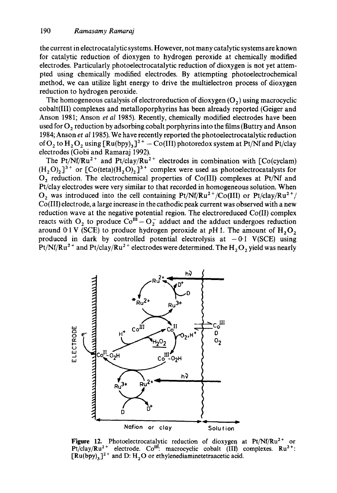the current in electrocatalytic systems. However, not many catalytic systems are known for catalytic reduction of dioxygen to hydrogen peroxide at chemically modified electrodes. Particularly photoelectrocatalytic reduction of dioxygen is not yet attempted using chemically modified electrodes. By attempting photoelectrochemical method, we can utilize light energy to drive the multielectron process of dioxygen reduction to hydrogen peroxide.

The homogeneous catalysis of electroreduction of dioxygen  $(O_2)$  using macrocyclic cobalt(Ill) complexes and metalloporphyrins has been already reported (Geiger and Anson 1981; Anson *et al* 1985). Recently, chemically modified electrodes have been used for  $O_2$ , reduction by adsorbing cobalt porphyrins into the films (Buttry and Anson 1984; Anson *et a11985).* We have recently reported the photoelectrocatalytic reduction of O<sub>2</sub> to H<sub>2</sub>O<sub>2</sub> using  $[Ru(bpy)_3]^{2+} - Co(III)$  photoredox system at Pt/Nf and Pt/clay electrodes (Gobi and Ramaraj 1992).

The Pt/Nf/Ru<sup>2+</sup> and Pt/clay/Ru<sup>2+</sup> electrodes in combination with [Co(cyclam)  $(H, O)_{2}$ ]<sup>3+</sup> or [Co(teta)( $H, O$ )<sub>2</sub>]<sup>3+</sup> complex were used as photoelectrocatalysts for  $O<sub>2</sub>$  reduction. The electrochemical properties of Co(III) complexes at Pt/Nf and Pt/clay electrodes were very similar to that recorded in homogeneous solution. When  $O_2$  was introduced into the cell containing Pt/Nf/Ru<sup>2+</sup>/Co(III) or Pt/clay/Ru<sup>2+</sup>/ Co(III) electrode, a large increase in the cathodic peak current was observed with a new reduction wave at the negative potential region. The electroreduced Co(II) complex reacts with  $O_2$  to produce  $Co^{III} - O_2^-$  adduct and the adduct undergoes reduction around 0.1 V (SCE) to produce hydrogen peroxide at pH 1. The amount of  $H_2O_2$ produced in dark by controlled potential electrolysis at  $-0.1$  V(SCE) using Pt/Nf/Ru<sup>2+</sup> and Pt/clay/Ru<sup>2+</sup> electrodes were determined. The  $H_2O_2$  yield was nearly



Figure 12. Photoelectrocatalytic reduction of dioxygen at Pt/Nf/Ru<sup>2+</sup> or Pt/clay/Ru<sup>2+</sup> electrode. Co<sup>III</sup>: macrocyclic cobalt  $(III)$  complexes. Ru<sup>2+</sup>:  $[Ru(bpy),]^{2+}$  and D: H, O or ethylenediaminetetraacetic acid.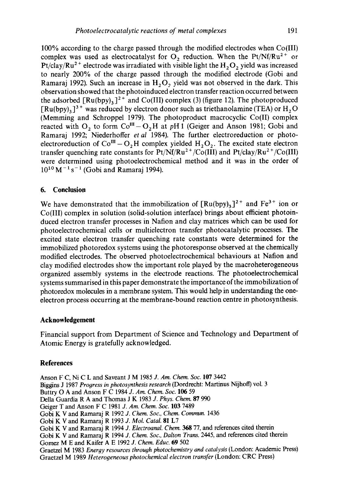100% according to the charge passed through the modified electrodes when Co(III) complex was used as electrocatalyst for O<sub>2</sub> reduction. When the Pt/Nf/Ru<sup>2+</sup> or Pt/clay/Ru<sup>2+</sup> electrode was irradiated with visible light the H<sub>2</sub>O<sub>2</sub> yield was increased to nearly 200% of the charge passed through the modified electrode (Gobi and Ramaraj 1992). Such an increase in  $H<sub>2</sub>O<sub>2</sub>$  yield was not observed in the dark. This observation showed that the photoinduced electron transfer reaction occurred between the adsorbed  $\lceil \text{Ru(bpy)}_3 \rceil^{2+}$  and Co(III) complex (3) (figure 12). The photoproduced  $[Ru(bpy)_3]$ <sup>3+</sup> was reduced by electron donor such as triethanolamine (TEA) or H<sub>2</sub>O (Memming and Schroppel 1979). The photoproduct macrocyclic Co(II) complex reacted with O<sub>2</sub> to form  $Co<sup>III</sup> - O<sub>2</sub>H$  at pH 1 (Geiger and Anson 1981; Gobi and Ramaraj 1992; Niederhoffer *etal* 1984). The further electroreduction or photoelectroreduction of  $Co^{III} - O<sub>2</sub>H$  complex yielded  $H<sub>2</sub>O<sub>2</sub>$ . The excited state electron transfer quenching rate constants for  $Pt/Nf/Ru^{2+}/Co(III)$  and  $Pt/clay/Ru^{2+}/Co(III)$ were determined using photoelectrochemical method and it was in the order of  $10^{10}$  M<sup>-1</sup> s<sup>-1</sup> (Gobi and Ramaraj 1994).

#### **6. Conclusion**

We have demonstrated that the immobilization of  $\lceil Ru(bpy)_3 \rceil^{2+}$  and  $Fe^{3+}$  ion or Co(III) complex in solution (solid-solution interface) brings about efficient photoinduced electron transfer processes in Nation and clay matrices which can be used for photoelectrochemical cells or multielectron transfer photocatalytic processes. The excited state electron transfer quenching rate constants were determined for the immobilized photoredox systems using the photoresponse observed at the chemically modified electrodes. The observed photoelectrochemical behaviours at Nation and clay modified electrodes show the important role played by the macroheterogeneous organized assembly systems in the electrode reactions. The photoelectrochemical systems summarised in this paper demonstrate the importance of the immobilization of photoredox molecules in a membrane system. This would help in understanding the oneelectron process occurring at the membrane-bound reaction centre in photosynthesis.

#### **Acknowledgement**

Financial support from Department of Science and Technology and Department of Atomic Energy is gratefully acknowledged.

#### **References**

Anson F C, Ni C L and Saveant J M 1985 *J. Am. Chem. Soc.* 107 3442 Biggins J 1987 *Progress in photosynthesis research* (Dordrecht: Martinus Nijhoff) vol. 3 Buttry O A and Anson F C 1984 *J. Am. Chem. Soc.* 106 59 Della Guardia R A and Thomas J K 1983 *J. Phys. Chem. 87 990*  Geiger T and Anson F C 1981 *J. Am. Chem. Soc.* 103 7489 Gobi K V and Ramaraj R 1992 *J. Chem. Sot., Chem. Commun.* 1436 Gobi K V and Ramaraj R 1993 *J. Mol. Catal.* 81 L7 Gobi K V and Ramaraj R 1994 *J. Electroanal. Chem. 368* 77, and references cited therein Gobi K V and Ramaraj R 1994 *J. Chem. Soc., Dalton Trans.* 2445, and references cited therein Gomez M E and Kaifer A E 1992 *J. Chem. Educ.* 69 502 Graetzel M 1983 *Energy resources through photochemistry and catalysis* (London: Academic Press) Graetzel M 1989 *Heterogeneous photochemical electron transfer* (London: CRC Press)